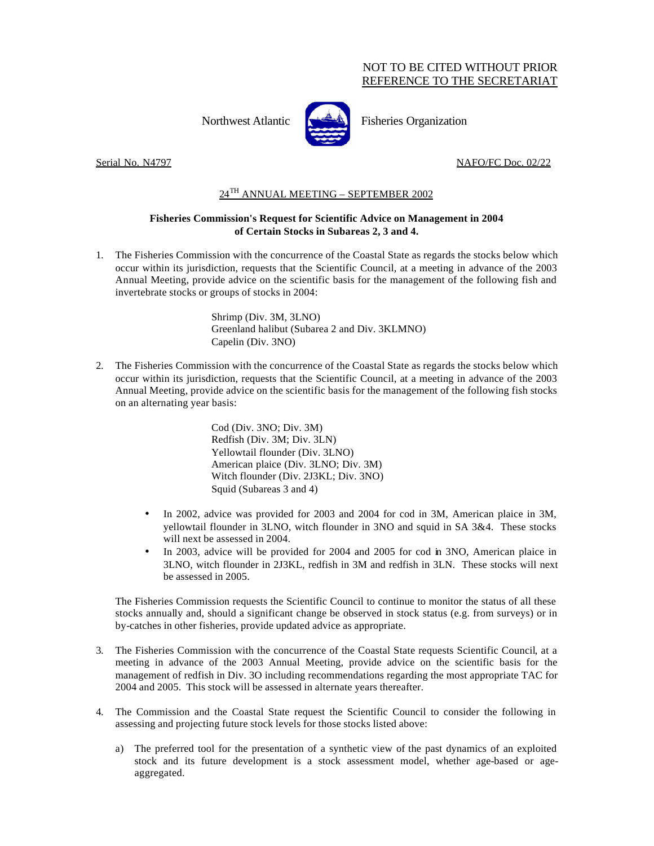## NOT TO BE CITED WITHOUT PRIOR REFERENCE TO THE SECRETARIAT



Northwest Atlantic Fisheries Organization

Serial No. N4797 NAFO/FC Doc. 02/22

## 24TH ANNUAL MEETING – SEPTEMBER 2002

## **Fisheries Commission's Request for Scientific Advice on Management in 2004 of Certain Stocks in Subareas 2, 3 and 4.**

1. The Fisheries Commission with the concurrence of the Coastal State as regards the stocks below which occur within its jurisdiction, requests that the Scientific Council, at a meeting in advance of the 2003 Annual Meeting, provide advice on the scientific basis for the management of the following fish and invertebrate stocks or groups of stocks in 2004:

> Shrimp (Div. 3M, 3LNO) Greenland halibut (Subarea 2 and Div. 3KLMNO) Capelin (Div. 3NO)

2. The Fisheries Commission with the concurrence of the Coastal State as regards the stocks below which occur within its jurisdiction, requests that the Scientific Council, at a meeting in advance of the 2003 Annual Meeting, provide advice on the scientific basis for the management of the following fish stocks on an alternating year basis:

> Cod (Div. 3NO; Div. 3M) Redfish (Div. 3M; Div. 3LN) Yellowtail flounder (Div. 3LNO) American plaice (Div. 3LNO; Div. 3M) Witch flounder (Div. 2J3KL; Div. 3NO) Squid (Subareas 3 and 4)

- In 2002, advice was provided for 2003 and 2004 for cod in 3M, American plaice in 3M, yellowtail flounder in 3LNO, witch flounder in 3NO and squid in SA 3&4. These stocks will next be assessed in 2004.
- In 2003, advice will be provided for 2004 and 2005 for cod in 3NO, American plaice in 3LNO, witch flounder in 2J3KL, redfish in 3M and redfish in 3LN. These stocks will next be assessed in 2005.

The Fisheries Commission requests the Scientific Council to continue to monitor the status of all these stocks annually and, should a significant change be observed in stock status (e.g. from surveys) or in by-catches in other fisheries, provide updated advice as appropriate.

- 3. The Fisheries Commission with the concurrence of the Coastal State requests Scientific Council, at a meeting in advance of the 2003 Annual Meeting, provide advice on the scientific basis for the management of redfish in Div. 3O including recommendations regarding the most appropriate TAC for 2004 and 2005. This stock will be assessed in alternate years thereafter.
- 4. The Commission and the Coastal State request the Scientific Council to consider the following in assessing and projecting future stock levels for those stocks listed above:
	- a) The preferred tool for the presentation of a synthetic view of the past dynamics of an exploited stock and its future development is a stock assessment model, whether age-based or ageaggregated.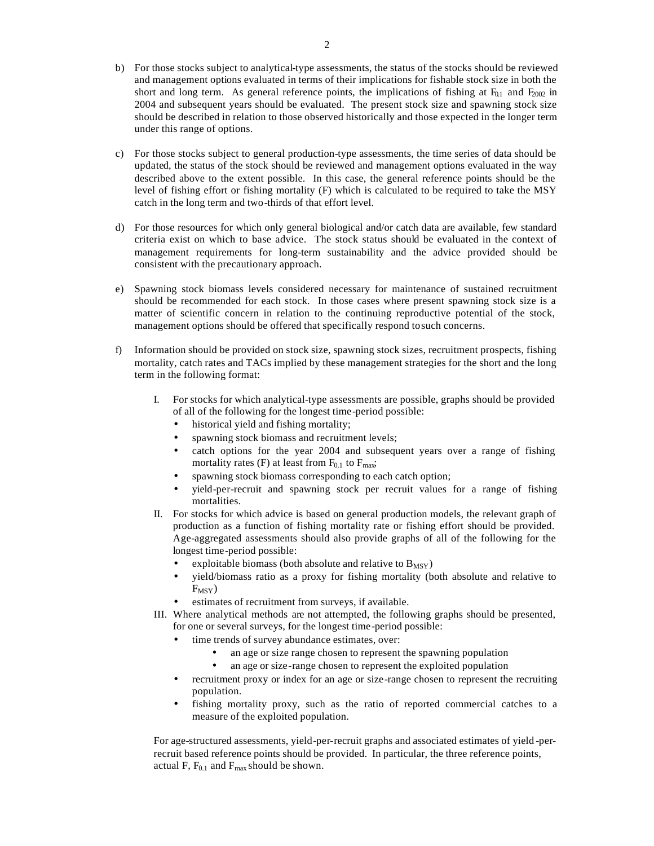- b) For those stocks subject to analytical-type assessments, the status of the stocks should be reviewed and management options evaluated in terms of their implications for fishable stock size in both the short and long term. As general reference points, the implications of fishing at  $F_{0.1}$  and  $F_{2002}$  in 2004 and subsequent years should be evaluated. The present stock size and spawning stock size should be described in relation to those observed historically and those expected in the longer term under this range of options.
- c) For those stocks subject to general production-type assessments, the time series of data should be updated, the status of the stock should be reviewed and management options evaluated in the way described above to the extent possible. In this case, the general reference points should be the level of fishing effort or fishing mortality (F) which is calculated to be required to take the MSY catch in the long term and two-thirds of that effort level.
- d) For those resources for which only general biological and/or catch data are available, few standard criteria exist on which to base advice. The stock status should be evaluated in the context of management requirements for long-term sustainability and the advice provided should be consistent with the precautionary approach.
- e) Spawning stock biomass levels considered necessary for maintenance of sustained recruitment should be recommended for each stock. In those cases where present spawning stock size is a matter of scientific concern in relation to the continuing reproductive potential of the stock, management options should be offered that specifically respond to such concerns.
- f) Information should be provided on stock size, spawning stock sizes, recruitment prospects, fishing mortality, catch rates and TACs implied by these management strategies for the short and the long term in the following format:
	- I. For stocks for which analytical-type assessments are possible, graphs should be provided of all of the following for the longest time-period possible:
		- historical yield and fishing mortality;
		- spawning stock biomass and recruitment levels;
		- catch options for the year 2004 and subsequent years over a range of fishing mortality rates (F) at least from  $F_{0.1}$  to  $F_{\text{max}}$ ;
		- spawning stock biomass corresponding to each catch option;
		- yield-per-recruit and spawning stock per recruit values for a range of fishing mortalities.
	- II. For stocks for which advice is based on general production models, the relevant graph of production as a function of fishing mortality rate or fishing effort should be provided. Age-aggregated assessments should also provide graphs of all of the following for the longest time-period possible:
		- exploitable biomass (both absolute and relative to  $B_{MSY}$ )
		- yield/biomass ratio as a proxy for fishing mortality (both absolute and relative to  $F_{MSY}$ )
		- estimates of recruitment from surveys, if available.
	- III. Where analytical methods are not attempted, the following graphs should be presented, for one or several surveys, for the longest time-period possible:
		- time trends of survey abundance estimates, over:
			- an age or size range chosen to represent the spawning population
			- an age or size-range chosen to represent the exploited population
		- recruitment proxy or index for an age or size-range chosen to represent the recruiting population.
		- fishing mortality proxy, such as the ratio of reported commercial catches to a measure of the exploited population.

For age-structured assessments, yield-per-recruit graphs and associated estimates of yield -perrecruit based reference points should be provided. In particular, the three reference points, actual F,  $F_{0.1}$  and  $F_{\text{max}}$  should be shown.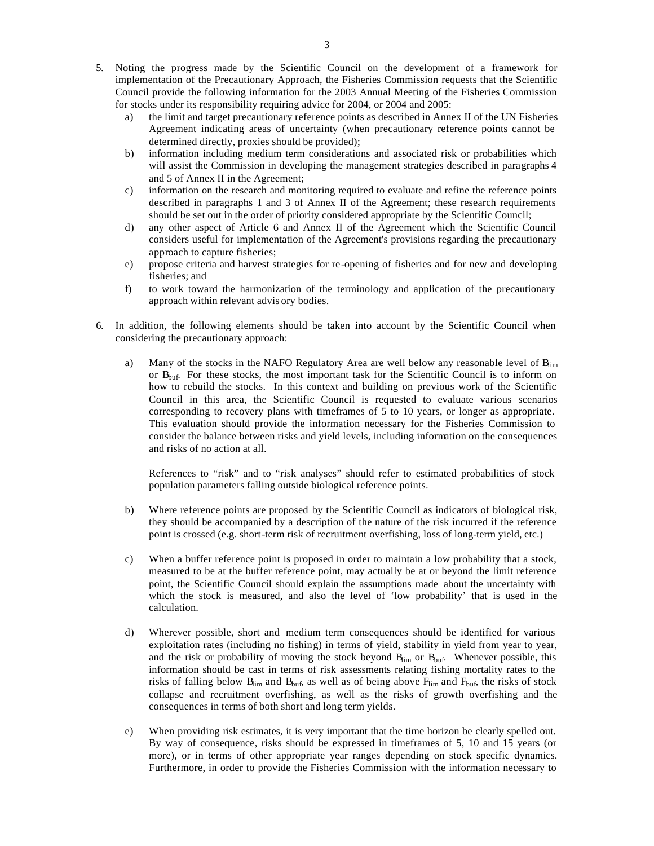- 5. Noting the progress made by the Scientific Council on the development of a framework for implementation of the Precautionary Approach, the Fisheries Commission requests that the Scientific Council provide the following information for the 2003 Annual Meeting of the Fisheries Commission for stocks under its responsibility requiring advice for 2004, or 2004 and 2005:
	- a) the limit and target precautionary reference points as described in Annex II of the UN Fisheries Agreement indicating areas of uncertainty (when precautionary reference points cannot be determined directly, proxies should be provided);
	- b) information including medium term considerations and associated risk or probabilities which will assist the Commission in developing the management strategies described in paragraphs 4 and 5 of Annex II in the Agreement;
	- c) information on the research and monitoring required to evaluate and refine the reference points described in paragraphs 1 and 3 of Annex II of the Agreement; these research requirements should be set out in the order of priority considered appropriate by the Scientific Council;
	- d) any other aspect of Article 6 and Annex II of the Agreement which the Scientific Council considers useful for implementation of the Agreement's provisions regarding the precautionary approach to capture fisheries;
	- e) propose criteria and harvest strategies for re-opening of fisheries and for new and developing fisheries; and
	- f) to work toward the harmonization of the terminology and application of the precautionary approach within relevant advis ory bodies.
- 6. In addition, the following elements should be taken into account by the Scientific Council when considering the precautionary approach:
	- a) Many of the stocks in the NAFO Regulatory Area are well below any reasonable level of  $B_{\text{lim}}$ or  $B_{\text{buf}}$ . For these stocks, the most important task for the Scientific Council is to inform on how to rebuild the stocks. In this context and building on previous work of the Scientific Council in this area, the Scientific Council is requested to evaluate various scenarios corresponding to recovery plans with timeframes of 5 to 10 years, or longer as appropriate. This evaluation should provide the information necessary for the Fisheries Commission to consider the balance between risks and yield levels, including information on the consequences and risks of no action at all.

References to "risk" and to "risk analyses" should refer to estimated probabilities of stock population parameters falling outside biological reference points.

- b) Where reference points are proposed by the Scientific Council as indicators of biological risk, they should be accompanied by a description of the nature of the risk incurred if the reference point is crossed (e.g. short-term risk of recruitment overfishing, loss of long-term yield, etc.)
- c) When a buffer reference point is proposed in order to maintain a low probability that a stock, measured to be at the buffer reference point, may actually be at or beyond the limit reference point, the Scientific Council should explain the assumptions made about the uncertainty with which the stock is measured, and also the level of 'low probability' that is used in the calculation.
- d) Wherever possible, short and medium term consequences should be identified for various exploitation rates (including no fishing) in terms of yield, stability in yield from year to year, and the risk or probability of moving the stock beyond  $B_{\text{lim}}$  or  $B_{\text{buf}}$ . Whenever possible, this information should be cast in terms of risk assessments relating fishing mortality rates to the risks of falling below  $B_{\text{lim}}$  and  $B_{\text{buf}}$ , as well as of being above  $F_{\text{lim}}$  and  $F_{\text{buf}}$ , the risks of stock collapse and recruitment overfishing, as well as the risks of growth overfishing and the consequences in terms of both short and long term yields.
- e) When providing risk estimates, it is very important that the time horizon be clearly spelled out. By way of consequence, risks should be expressed in timeframes of 5, 10 and 15 years (or more), or in terms of other appropriate year ranges depending on stock specific dynamics. Furthermore, in order to provide the Fisheries Commission with the information necessary to